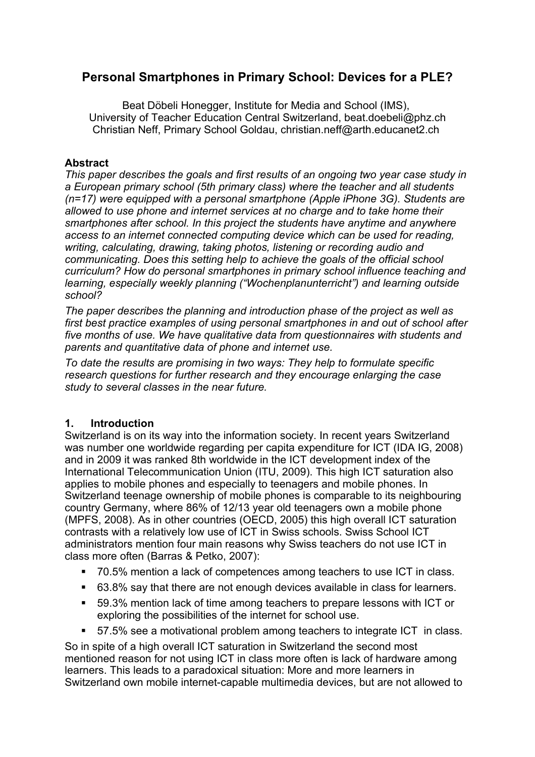# **Personal Smartphones in Primary School: Devices for a PLE?**

Beat Döbeli Honegger, Institute for Media and School (IMS), University of Teacher Education Central Switzerland, beat.doebeli@phz.ch Christian Neff, Primary School Goldau, christian.neff@arth.educanet2.ch

### **Abstract**

*This paper describes the goals and first results of an ongoing two year case study in a European primary school (5th primary class) where the teacher and all students (n=17) were equipped with a personal smartphone (Apple iPhone 3G). Students are allowed to use phone and internet services at no charge and to take home their smartphones after school. In this project the students have anytime and anywhere access to an internet connected computing device which can be used for reading, writing, calculating, drawing, taking photos, listening or recording audio and communicating. Does this setting help to achieve the goals of the official school curriculum? How do personal smartphones in primary school influence teaching and learning, especially weekly planning ("Wochenplanunterricht") and learning outside school?*

*The paper describes the planning and introduction phase of the project as well as first best practice examples of using personal smartphones in and out of school after five months of use. We have qualitative data from questionnaires with students and parents and quantitative data of phone and internet use.*

*To date the results are promising in two ways: They help to formulate specific research questions for further research and they encourage enlarging the case study to several classes in the near future.*

# **1. Introduction**

Switzerland is on its way into the information society. In recent years Switzerland was number one worldwide regarding per capita expenditure for ICT (IDA IG, 2008) and in 2009 it was ranked 8th worldwide in the ICT development index of the International Telecommunication Union (ITU, 2009). This high ICT saturation also applies to mobile phones and especially to teenagers and mobile phones. In Switzerland teenage ownership of mobile phones is comparable to its neighbouring country Germany, where 86% of 12/13 year old teenagers own a mobile phone (MPFS, 2008). As in other countries (OECD, 2005) this high overall ICT saturation contrasts with a relatively low use of ICT in Swiss schools. Swiss School ICT administrators mention four main reasons why Swiss teachers do not use ICT in class more often (Barras & Petko, 2007):

- 70.5% mention a lack of competences among teachers to use ICT in class.
- 63.8% say that there are not enough devices available in class for learners.
- 59.3% mention lack of time among teachers to prepare lessons with ICT or exploring the possibilities of the internet for school use.
- 57.5% see a motivational problem among teachers to integrate ICT in class.

So in spite of a high overall ICT saturation in Switzerland the second most mentioned reason for not using ICT in class more often is lack of hardware among learners. This leads to a paradoxical situation: More and more learners in Switzerland own mobile internet-capable multimedia devices, but are not allowed to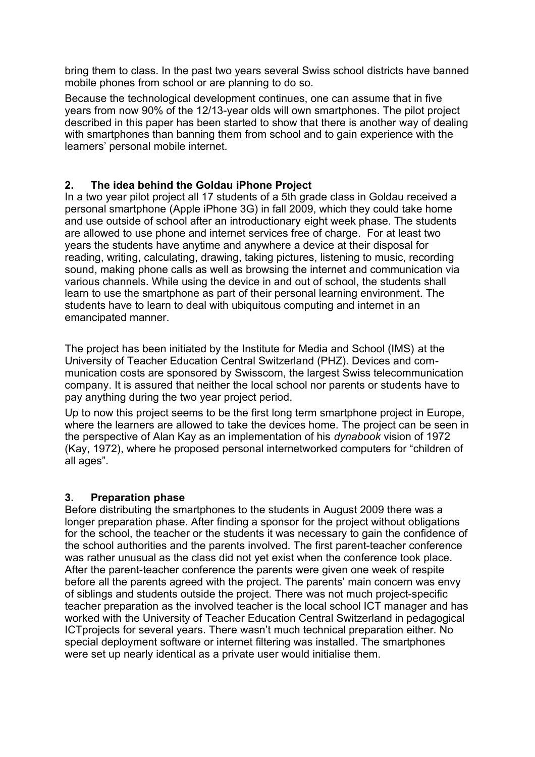bring them to class. In the past two years several Swiss school districts have banned mobile phones from school or are planning to do so.

Because the technological development continues, one can assume that in five years from now 90% of the 12/13-year olds will own smartphones. The pilot project described in this paper has been started to show that there is another way of dealing with smartphones than banning them from school and to gain experience with the learners' personal mobile internet.

# **2. The idea behind the Goldau iPhone Project**

In a two year pilot project all 17 students of a 5th grade class in Goldau received a personal smartphone (Apple iPhone 3G) in fall 2009, which they could take home and use outside of school after an introductionary eight week phase. The students are allowed to use phone and internet services free of charge. For at least two years the students have anytime and anywhere a device at their disposal for reading, writing, calculating, drawing, taking pictures, listening to music, recording sound, making phone calls as well as browsing the internet and communication via various channels. While using the device in and out of school, the students shall learn to use the smartphone as part of their personal learning environment. The students have to learn to deal with ubiquitous computing and internet in an emancipated manner.

The project has been initiated by the Institute for Media and School (IMS) at the University of Teacher Education Central Switzerland (PHZ). Devices and communication costs are sponsored by Swisscom, the largest Swiss telecommunication company. It is assured that neither the local school nor parents or students have to pay anything during the two year project period.

Up to now this project seems to be the first long term smartphone project in Europe, where the learners are allowed to take the devices home. The project can be seen in the perspective of Alan Kay as an implementation of his *dynabook* vision of 1972 (Kay, 1972), where he proposed personal internetworked computers for "children of all ages".

#### **3. Preparation phase**

Before distributing the smartphones to the students in August 2009 there was a longer preparation phase. After finding a sponsor for the project without obligations for the school, the teacher or the students it was necessary to gain the confidence of the school authorities and the parents involved. The first parent-teacher conference was rather unusual as the class did not yet exist when the conference took place. After the parent-teacher conference the parents were given one week of respite before all the parents agreed with the project. The parents' main concern was envy of siblings and students outside the project. There was not much project-specific teacher preparation as the involved teacher is the local school ICT manager and has worked with the University of Teacher Education Central Switzerland in pedagogical ICTprojects for several years. There wasn't much technical preparation either. No special deployment software or internet filtering was installed. The smartphones were set up nearly identical as a private user would initialise them.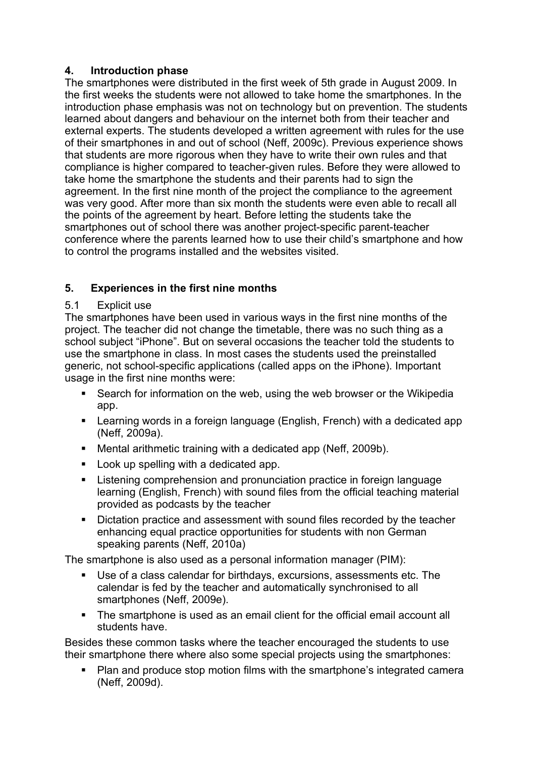# **4. Introduction phase**

The smartphones were distributed in the first week of 5th grade in August 2009. In the first weeks the students were not allowed to take home the smartphones. In the introduction phase emphasis was not on technology but on prevention. The students learned about dangers and behaviour on the internet both from their teacher and external experts. The students developed a written agreement with rules for the use of their smartphones in and out of school (Neff, 2009c). Previous experience shows that students are more rigorous when they have to write their own rules and that compliance is higher compared to teacher-given rules. Before they were allowed to take home the smartphone the students and their parents had to sign the agreement. In the first nine month of the project the compliance to the agreement was very good. After more than six month the students were even able to recall all the points of the agreement by heart. Before letting the students take the smartphones out of school there was another project-specific parent-teacher conference where the parents learned how to use their child's smartphone and how to control the programs installed and the websites visited.

# **5. Experiences in the first nine months**

# 5.1 Explicit use

The smartphones have been used in various ways in the first nine months of the project. The teacher did not change the timetable, there was no such thing as a school subject "iPhone". But on several occasions the teacher told the students to use the smartphone in class. In most cases the students used the preinstalled generic, not school-specific applications (called apps on the iPhone). Important usage in the first nine months were:

- Search for information on the web, using the web browser or the Wikipedia app.
- **EXECT** Learning words in a foreign language (English, French) with a dedicated app (Neff, 2009a).
- Mental arithmetic training with a dedicated app (Neff, 2009b).
- **Look up spelling with a dedicated app.**
- Listening comprehension and pronunciation practice in foreign language learning (English, French) with sound files from the official teaching material provided as podcasts by the teacher
- Dictation practice and assessment with sound files recorded by the teacher enhancing equal practice opportunities for students with non German speaking parents (Neff, 2010a)

The smartphone is also used as a personal information manager (PIM):

- Use of a class calendar for birthdays, excursions, assessments etc. The calendar is fed by the teacher and automatically synchronised to all smartphones (Neff, 2009e).
- The smartphone is used as an email client for the official email account all students have.

Besides these common tasks where the teacher encouraged the students to use their smartphone there where also some special projects using the smartphones:

• Plan and produce stop motion films with the smartphone's integrated camera (Neff, 2009d).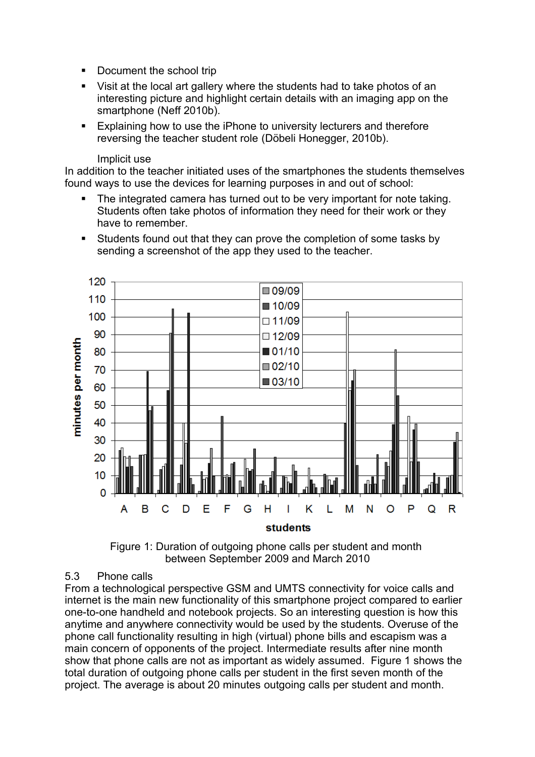- Document the school trip
- Visit at the local art gallery where the students had to take photos of an interesting picture and highlight certain details with an imaging app on the smartphone (Neff 2010b).
- **Explaining how to use the iPhone to university lecturers and therefore** reversing the teacher student role (Döbeli Honegger, 2010b).

#### Implicit use

In addition to the teacher initiated uses of the smartphones the students themselves found ways to use the devices for learning purposes in and out of school:

- The integrated camera has turned out to be very important for note taking. Students often take photos of information they need for their work or they have to remember.
- Students found out that they can prove the completion of some tasks by sending a screenshot of the app they used to the teacher.





#### 5.3 Phone calls

From a technological perspective GSM and UMTS connectivity for voice calls and internet is the main new functionality of this smartphone project compared to earlier one-to-one handheld and notebook projects. So an interesting question is how this anytime and anywhere connectivity would be used by the students. Overuse of the phone call functionality resulting in high (virtual) phone bills and escapism was a main concern of opponents of the project. Intermediate results after nine month show that phone calls are not as important as widely assumed. Figure 1 shows the total duration of outgoing phone calls per student in the first seven month of the project. The average is about 20 minutes outgoing calls per student and month.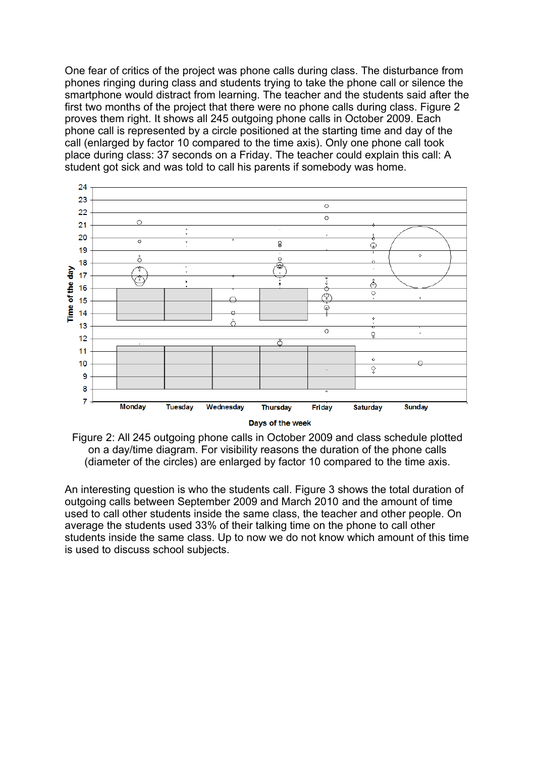One fear of critics of the project was phone calls during class. The disturbance from phones ringing during class and students trying to take the phone call or silence the smartphone would distract from learning. The teacher and the students said after the first two months of the project that there were no phone calls during class. Figure 2 proves them right. It shows all 245 outgoing phone calls in October 2009. Each phone call is represented by a circle positioned at the starting time and day of the call (enlarged by factor 10 compared to the time axis). Only one phone call took place during class: 37 seconds on a Friday. The teacher could explain this call: A student got sick and was told to call his parents if somebody was home.



Days of the week

Figure 2: All 245 outgoing phone calls in October 2009 and class schedule plotted on a day/time diagram. For visibility reasons the duration of the phone calls (diameter of the circles) are enlarged by factor 10 compared to the time axis.

An interesting question is who the students call. Figure 3 shows the total duration of outgoing calls between September 2009 and March 2010 and the amount of time used to call other students inside the same class, the teacher and other people. On average the students used 33% of their talking time on the phone to call other students inside the same class. Up to now we do not know which amount of this time is used to discuss school subjects.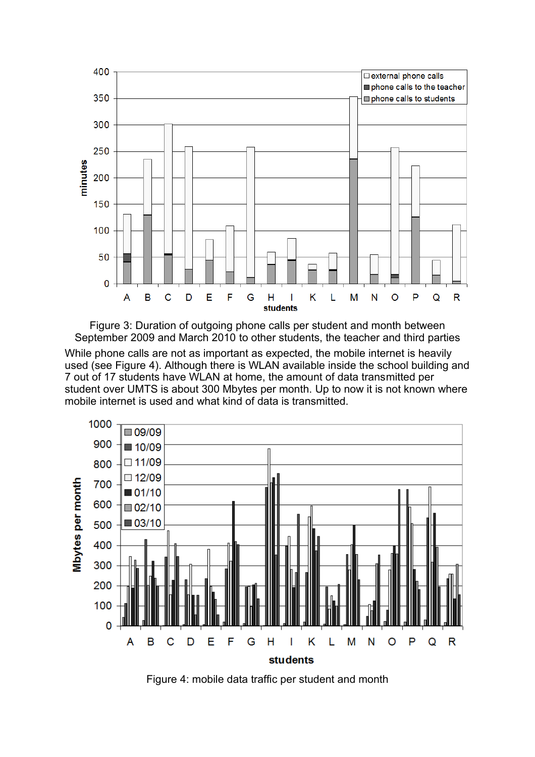

Figure 3: Duration of outgoing phone calls per student and month between September 2009 and March 2010 to other students, the teacher and third parties

While phone calls are not as important as expected, the mobile internet is heavily used (see Figure 4). Although there is WLAN available inside the school building and 7 out of 17 students have WLAN at home, the amount of data transmitted per student over UMTS is about 300 Mbytes per month. Up to now it is not known where mobile internet is used and what kind of data is transmitted.



Figure 4: mobile data traffic per student and month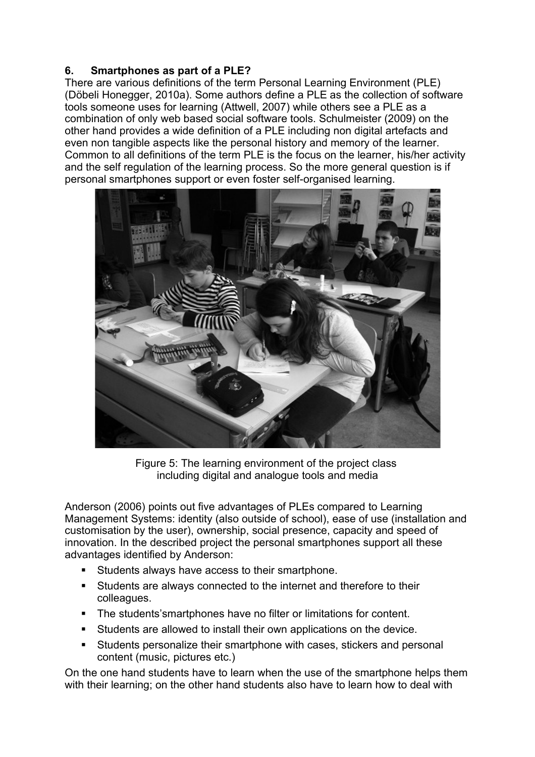# **6. Smartphones as part of a PLE?**

There are various definitions of the term Personal Learning Environment (PLE) (Döbeli Honegger, 2010a). Some authors define a PLE as the collection of software tools someone uses for learning (Attwell, 2007) while others see a PLE as a combination of only web based social software tools. Schulmeister (2009) on the other hand provides a wide definition of a PLE including non digital artefacts and even non tangible aspects like the personal history and memory of the learner. Common to all definitions of the term PLE is the focus on the learner, his/her activity and the self regulation of the learning process. So the more general question is if personal smartphones support or even foster self-organised learning.



Figure 5: The learning environment of the project class including digital and analogue tools and media

Anderson (2006) points out five advantages of PLEs compared to Learning Management Systems: identity (also outside of school), ease of use (installation and customisation by the user), ownership, social presence, capacity and speed of innovation. In the described project the personal smartphones support all these advantages identified by Anderson:

- Students always have access to their smartphone.
- Students are always connected to the internet and therefore to their colleagues.
- The students'smartphones have no filter or limitations for content.
- Students are allowed to install their own applications on the device.
- Students personalize their smartphone with cases, stickers and personal content (music, pictures etc.)

On the one hand students have to learn when the use of the smartphone helps them with their learning; on the other hand students also have to learn how to deal with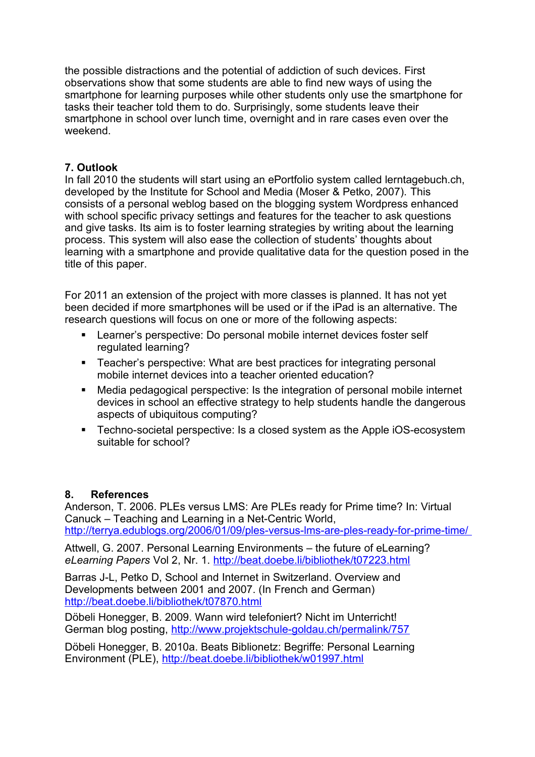the possible distractions and the potential of addiction of such devices. First observations show that some students are able to find new ways of using the smartphone for learning purposes while other students only use the smartphone for tasks their teacher told them to do. Surprisingly, some students leave their smartphone in school over lunch time, overnight and in rare cases even over the weekend.

### **7. Outlook**

In fall 2010 the students will start using an ePortfolio system called lerntagebuch.ch, developed by the Institute for School and Media (Moser & Petko, 2007). This consists of a personal weblog based on the blogging system Wordpress enhanced with school specific privacy settings and features for the teacher to ask questions and give tasks. Its aim is to foster learning strategies by writing about the learning process. This system will also ease the collection of students' thoughts about learning with a smartphone and provide qualitative data for the question posed in the title of this paper.

For 2011 an extension of the project with more classes is planned. It has not yet been decided if more smartphones will be used or if the iPad is an alternative. The research questions will focus on one or more of the following aspects:

- Learner's perspective: Do personal mobile internet devices foster self regulated learning?
- Teacher's perspective: What are best practices for integrating personal mobile internet devices into a teacher oriented education?
- Media pedagogical perspective: Is the integration of personal mobile internet devices in school an effective strategy to help students handle the dangerous aspects of ubiquitous computing?
- **Techno-societal perspective: Is a closed system as the Apple iOS-ecosystem** suitable for school?

#### **8. References**

Anderson, T. 2006. PLEs versus LMS: Are PLEs ready for Prime time? In: Virtual Canuck – Teaching and Learning in a Net-Centric World, <http://terrya.edublogs.org/2006/01/09/ples-versus-lms-are-ples-ready-for-prime-time/>

Attwell, G. 2007. Personal Learning Environments – the future of eLearning? *eLearning Papers* Vol 2, Nr. 1.<http://beat.doebe.li/bibliothek/t07223.html>

Barras J-L, Petko D, School and Internet in Switzerland. Overview and Developments between 2001 and 2007. (In French and German) <http://beat.doebe.li/bibliothek/t07870.html>

Döbeli Honegger, B. 2009. Wann wird telefoniert? Nicht im Unterricht! German blog posting,<http://www.projektschule-goldau.ch/permalink/757>

Döbeli Honegger, B. 2010a. Beats Biblionetz: Begriffe: Personal Learning Environment (PLE),<http://beat.doebe.li/bibliothek/w01997.html>